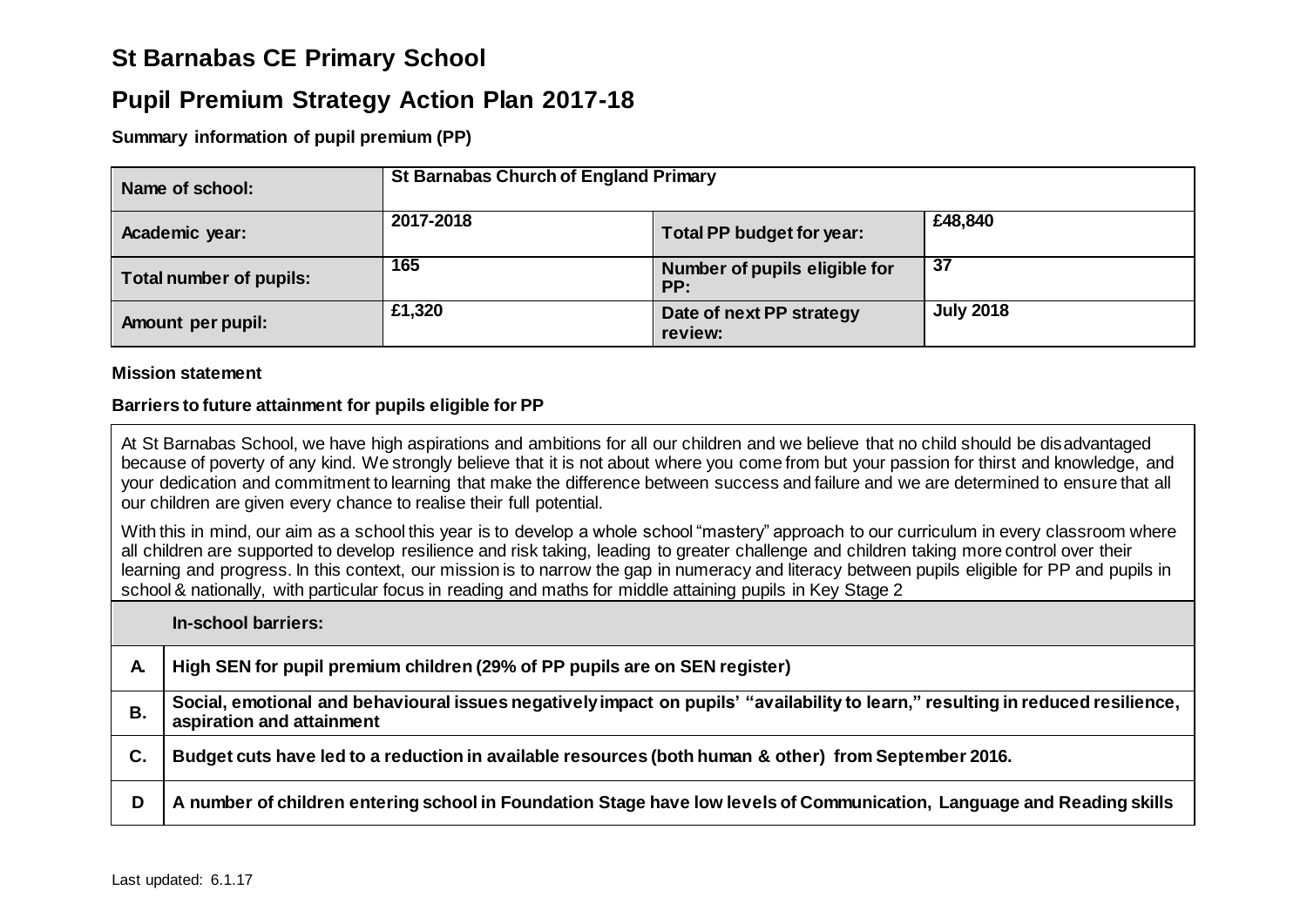# **St Barnabas CE Primary School**

## **Pupil Premium Strategy Action Plan 2017-18**

**Summary information of pupil premium (PP)**

| Name of school:          | <b>St Barnabas Church of England Primary</b> |                                      |                  |  |  |
|--------------------------|----------------------------------------------|--------------------------------------|------------------|--|--|
| Academic year:           | 2017-2018                                    | Total PP budget for year:            | £48,840          |  |  |
| Total number of pupils:  | 165                                          | Number of pupils eligible for<br>PP: | 37               |  |  |
| <b>Amount per pupil:</b> | £1,320                                       | Date of next PP strategy<br>review:  | <b>July 2018</b> |  |  |

#### **Mission statement**

#### **Barriers to future attainment for pupils eligible for PP**

At St Barnabas School, we have high aspirations and ambitions for all our children and we believe that no child should be disadvantaged because of poverty of any kind. We strongly believe that it is not about where you come from but your passion for thirst and knowledge, and your dedication and commitment to learning that make the difference between success and failure and we are determined to ensure that all our children are given every chance to realise their full potential.

With this in mind, our aim as a school this year is to develop a whole school "mastery" approach to our curriculum in every classroom where all children are supported to develop resilience and risk taking, leading to greater challenge and children taking more control over their learning and progress. In this context, our mission is to narrow the gap in numeracy and literacy between pupils eligible for PP and pupils in school & nationally, with particular focus in reading and maths for middle attaining pupils in Key Stage 2

**In-school barriers:**

|    | High SEN for pupil premium children (29% of PP pupils are on SEN register)                                                                                   |
|----|--------------------------------------------------------------------------------------------------------------------------------------------------------------|
|    | Social, emotional and behavioural issues negatively impact on pupils' "availability to learn," resulting in reduced resilience,<br>aspiration and attainment |
| С. | Budget cuts have led to a reduction in available resources (both human & other) from September 2016.                                                         |
| D  | A number of children entering school in Foundation Stage have low levels of Communication, Language and Reading skills                                       |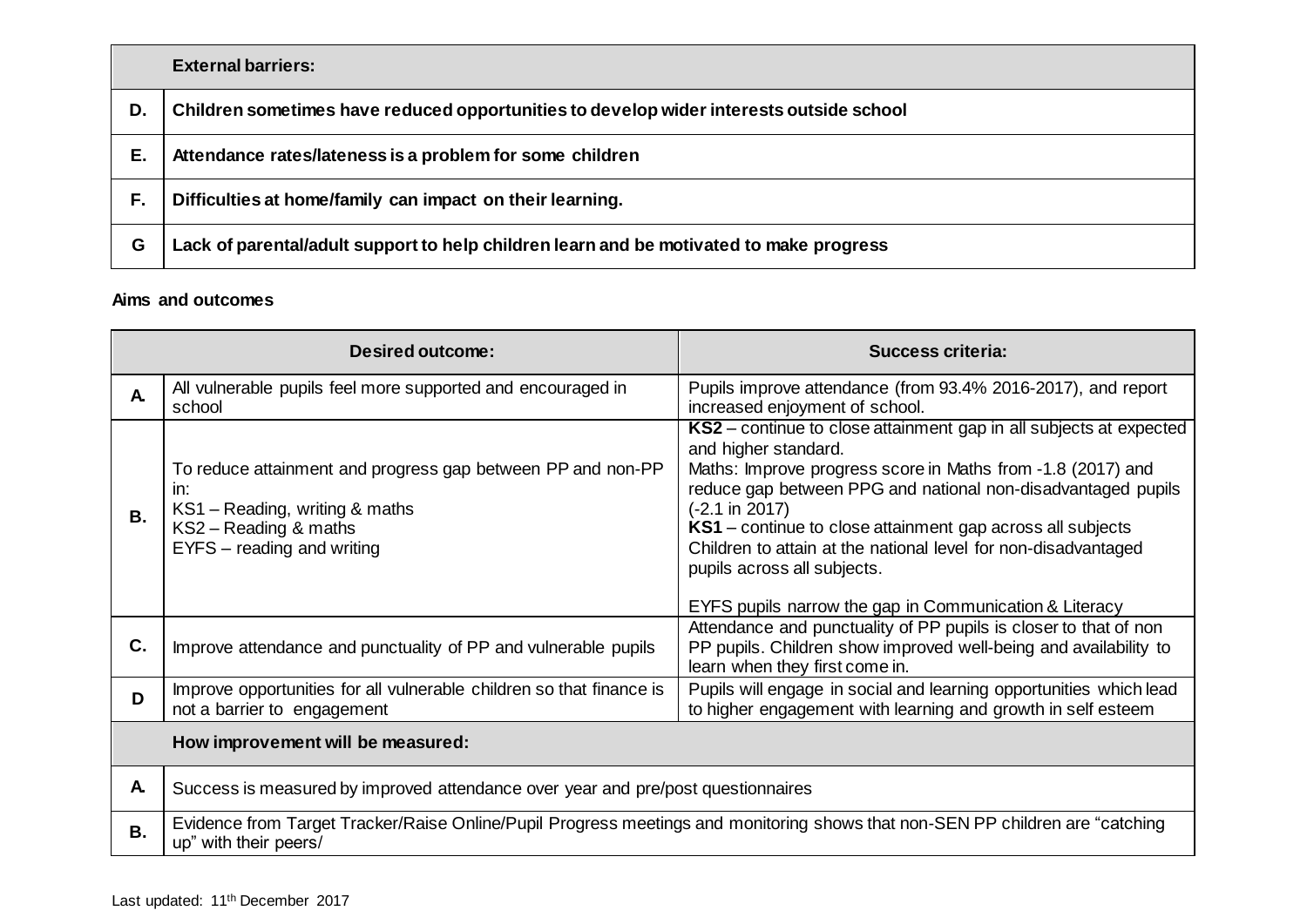|    | <b>External barriers:</b>                                                               |
|----|-----------------------------------------------------------------------------------------|
| D. | Children sometimes have reduced opportunities to develop wider interests outside school |
| Е. | Attendance rates/lateness is a problem for some children                                |
| F. | Difficulties at home/family can impact on their learning.                               |
| G  | Lack of parental/adult support to help children learn and be motivated to make progress |

### **Aims and outcomes**

| Desired outcome: |                                                                                                                                                             | <b>Success criteria:</b>                                                                                                                                                                                                                                                                                                                                                                                                                                                        |  |  |  |  |
|------------------|-------------------------------------------------------------------------------------------------------------------------------------------------------------|---------------------------------------------------------------------------------------------------------------------------------------------------------------------------------------------------------------------------------------------------------------------------------------------------------------------------------------------------------------------------------------------------------------------------------------------------------------------------------|--|--|--|--|
| $\mathbf{A}$     | All vulnerable pupils feel more supported and encouraged in<br>school                                                                                       | Pupils improve attendance (from 93.4% 2016-2017), and report<br>increased enjoyment of school.                                                                                                                                                                                                                                                                                                                                                                                  |  |  |  |  |
| В.               | To reduce attainment and progress gap between PP and non-PP<br>in:<br>KS1 - Reading, writing & maths<br>KS2 - Reading & maths<br>EYFS - reading and writing | KS2 – continue to close attainment gap in all subjects at expected<br>and higher standard.<br>Maths: Improve progress score in Maths from -1.8 (2017) and<br>reduce gap between PPG and national non-disadvantaged pupils<br>$(-2.1 \text{ in } 2017)$<br>KS1 – continue to close attainment gap across all subjects<br>Children to attain at the national level for non-disadvantaged<br>pupils across all subjects.<br>EYFS pupils narrow the gap in Communication & Literacy |  |  |  |  |
| C.               | Improve attendance and punctuality of PP and vulnerable pupils                                                                                              | Attendance and punctuality of PP pupils is closer to that of non<br>PP pupils. Children show improved well-being and availability to<br>learn when they first come in.                                                                                                                                                                                                                                                                                                          |  |  |  |  |
| D                | Improve opportunities for all vulnerable children so that finance is<br>not a barrier to engagement                                                         | Pupils will engage in social and learning opportunities which lead<br>to higher engagement with learning and growth in self esteem                                                                                                                                                                                                                                                                                                                                              |  |  |  |  |
|                  | How improvement will be measured:                                                                                                                           |                                                                                                                                                                                                                                                                                                                                                                                                                                                                                 |  |  |  |  |
| A.               | Success is measured by improved attendance over year and pre/post questionnaires                                                                            |                                                                                                                                                                                                                                                                                                                                                                                                                                                                                 |  |  |  |  |
| <b>B.</b>        | Evidence from Target Tracker/Raise Online/Pupil Progress meetings and monitoring shows that non-SEN PP children are "catching<br>up" with their peers/      |                                                                                                                                                                                                                                                                                                                                                                                                                                                                                 |  |  |  |  |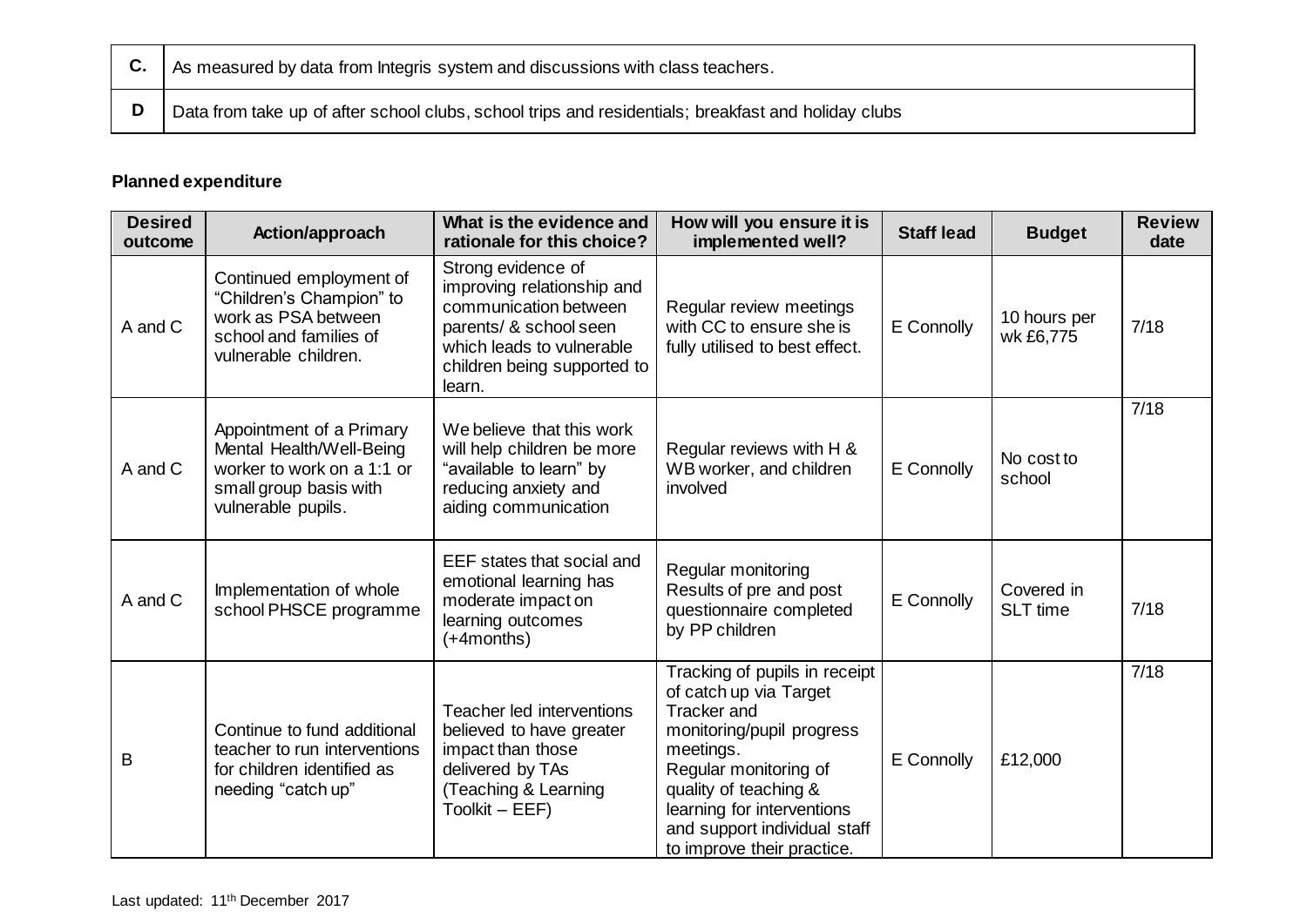| $\vert$ C. $\vert$ As measured by data from Integris system and discussions with class teachers.    |
|-----------------------------------------------------------------------------------------------------|
| Data from take up of after school clubs, school trips and residentials; breakfast and holiday clubs |

## **Planned expenditure**

| <b>Desired</b><br>outcome | Action/approach                                                                                                                    | What is the evidence and<br>rationale for this choice?                                                                                                                    | How will you ensure it is<br>implemented well?                                                                                                                                                                                                                        | <b>Staff lead</b> | <b>Budget</b>                 | <b>Review</b><br>date |
|---------------------------|------------------------------------------------------------------------------------------------------------------------------------|---------------------------------------------------------------------------------------------------------------------------------------------------------------------------|-----------------------------------------------------------------------------------------------------------------------------------------------------------------------------------------------------------------------------------------------------------------------|-------------------|-------------------------------|-----------------------|
| A and C                   | Continued employment of<br>"Children's Champion" to<br>work as PSA between<br>school and families of<br>vulnerable children.       | Strong evidence of<br>improving relationship and<br>communication between<br>parents/ & school seen<br>which leads to vulnerable<br>children being supported to<br>learn. | Regular review meetings<br>with CC to ensure she is<br>fully utilised to best effect.                                                                                                                                                                                 | E Connolly        | 10 hours per<br>wk £6,775     | 7/18                  |
| A and C                   | Appointment of a Primary<br>Mental Health/Well-Being<br>worker to work on a 1:1 or<br>small group basis with<br>vulnerable pupils. | We believe that this work<br>will help children be more<br>"available to learn" by<br>reducing anxiety and<br>aiding communication                                        | Regular reviews with H &<br>WB worker, and children<br>involved                                                                                                                                                                                                       | E Connolly        | No cost to<br>school          | 7/18                  |
| A and C                   | Implementation of whole<br>school PHSCE programme                                                                                  | EEF states that social and<br>emotional learning has<br>moderate impact on<br>learning outcomes<br>(+4months)                                                             | Regular monitoring<br>Results of pre and post<br>questionnaire completed<br>by PP children                                                                                                                                                                            | E Connolly        | Covered in<br><b>SLT</b> time | 7/18                  |
| B                         | Continue to fund additional<br>teacher to run interventions<br>for children identified as<br>needing "catch up"                    | Teacher led interventions<br>believed to have greater<br>impact than those<br>delivered by TAs<br>(Teaching & Learning<br>Toolkit - EEF)                                  | Tracking of pupils in receipt<br>of catch up via Target<br><b>Tracker</b> and<br>monitoring/pupil progress<br>meetings.<br>Regular monitoring of<br>quality of teaching &<br>learning for interventions<br>and support individual staff<br>to improve their practice. | E Connolly        | £12,000                       | 7/18                  |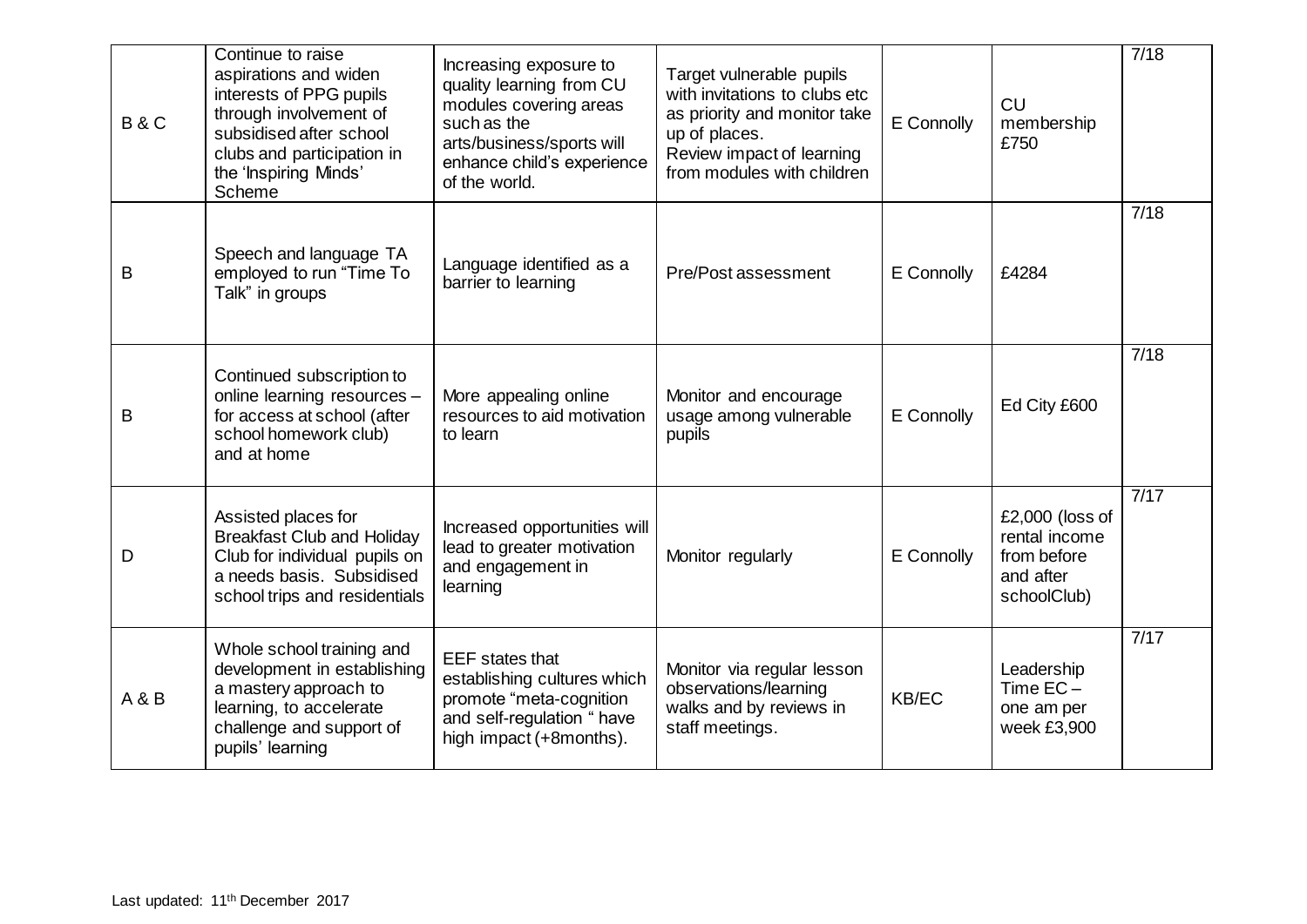| <b>B&amp;C</b> | Continue to raise<br>aspirations and widen<br>interests of PPG pupils<br>through involvement of<br>subsidised after school<br>clubs and participation in<br>the 'Inspiring Minds'<br>Scheme | Increasing exposure to<br>quality learning from CU<br>modules covering areas<br>such as the<br>arts/business/sports will<br>enhance child's experience<br>of the world. | Target vulnerable pupils<br>with invitations to clubs etc<br>as priority and monitor take<br>up of places.<br>Review impact of learning<br>from modules with children | E Connolly | <b>CU</b><br>membership<br>£750                                               | 7/18 |
|----------------|---------------------------------------------------------------------------------------------------------------------------------------------------------------------------------------------|-------------------------------------------------------------------------------------------------------------------------------------------------------------------------|-----------------------------------------------------------------------------------------------------------------------------------------------------------------------|------------|-------------------------------------------------------------------------------|------|
| B              | Speech and language TA<br>employed to run "Time To<br>Talk" in groups                                                                                                                       | Language identified as a<br>barrier to learning                                                                                                                         | Pre/Post assessment                                                                                                                                                   | E Connolly | £4284                                                                         | 7/18 |
| B              | Continued subscription to<br>online learning resources -<br>for access at school (after<br>school homework club)<br>and at home                                                             | More appealing online<br>resources to aid motivation<br>to learn                                                                                                        | Monitor and encourage<br>usage among vulnerable<br>pupils                                                                                                             | E Connolly | Ed City £600                                                                  | 7/18 |
| D              | Assisted places for<br><b>Breakfast Club and Holiday</b><br>Club for individual pupils on<br>a needs basis. Subsidised<br>school trips and residentials                                     | Increased opportunities will<br>lead to greater motivation<br>and engagement in<br>learning                                                                             | Monitor regularly                                                                                                                                                     | E Connolly | $£2,000$ (loss of<br>rental income<br>from before<br>and after<br>schoolClub) | 7/17 |
| A & B          | Whole school training and<br>development in establishing<br>a mastery approach to<br>learning, to accelerate<br>challenge and support of<br>pupils' learning                                | <b>EEF</b> states that<br>establishing cultures which<br>promote "meta-cognition<br>and self-regulation " have<br>high impact (+8months).                               | Monitor via regular lesson<br>observations/learning<br>walks and by reviews in<br>staff meetings.                                                                     | KB/EC      | Leadership<br>Time $EC -$<br>one am per<br>week £3,900                        | 7/17 |